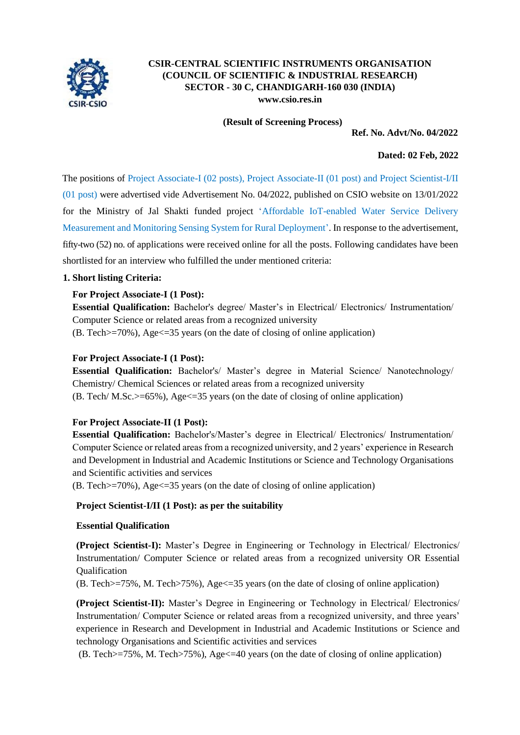

# **CSIR-CENTRAL SCIENTIFIC INSTRUMENTS ORGANISATION (COUNCIL OF SCIENTIFIC & INDUSTRIAL RESEARCH) SECTOR - 30 C, CHANDIGARH-160 030 (INDIA) [www.csio.res.in](http://www.csio.res.in/)**

**(Result of Screening Process)**

**Ref. No. Advt/No. 04/2022**

# **Dated: 02 Feb, 2022**

The positions of Project Associate-I (02 posts), Project Associate-II (01 post) and Project Scientist-I/II (01 post) were advertised vide Advertisement No. 04/2022, published on CSIO website on 13/01/2022 for the Ministry of Jal Shakti funded project 'Affordable IoT-enabled Water Service Delivery Measurement and Monitoring Sensing System for Rural Deployment'. In response to the advertisement, fifty-two (52) no. of applications were received online for all the posts. Following candidates have been shortlisted for an interview who fulfilled the under mentioned criteria:

#### **1. Short listing Criteria:**

# **For Project Associate-I (1 Post):**

**Essential Qualification:** Bachelor's degree/ Master's in Electrical/ Electronics/ Instrumentation/ Computer Science or related areas from a recognized university  $(B. Tech >=70\%)$ , Age  $\leq=35$  years (on the date of closing of online application)

# **For Project Associate-I (1 Post):**

**Essential Qualification:** Bachelor's/ Master's degree in Material Science/ Nanotechnology/ Chemistry/ Chemical Sciences or related areas from a recognized university (B. Tech/ M.Sc.>=65%), Age<=35 years (on the date of closing of online application)

#### **For Project Associate-II (1 Post):**

**Essential Qualification:** Bachelor's/Master's degree in Electrical/ Electronics/ Instrumentation/ Computer Science or related areas from a recognized university, and 2 years' experience in Research and Development in Industrial and Academic Institutions or Science and Technology Organisations and Scientific activities and services

(B. Tech>=70%), Age<=35 years (on the date of closing of online application)

#### **Project Scientist-I/II (1 Post): as per the suitability**

#### **Essential Qualification**

**(Project Scientist-I):** Master's Degree in Engineering or Technology in Electrical/ Electronics/ Instrumentation/ Computer Science or related areas from a recognized university OR Essential **Oualification** 

(B. Tech>=75%, M. Tech>75%), Age<=35 years (on the date of closing of online application)

**(Project Scientist-II):** Master's Degree in Engineering or Technology in Electrical/ Electronics/ Instrumentation/ Computer Science or related areas from a recognized university, and three years' experience in Research and Development in Industrial and Academic Institutions or Science and technology Organisations and Scientific activities and services

(B. Tech>=75%, M. Tech>75%), Age<=40 years (on the date of closing of online application)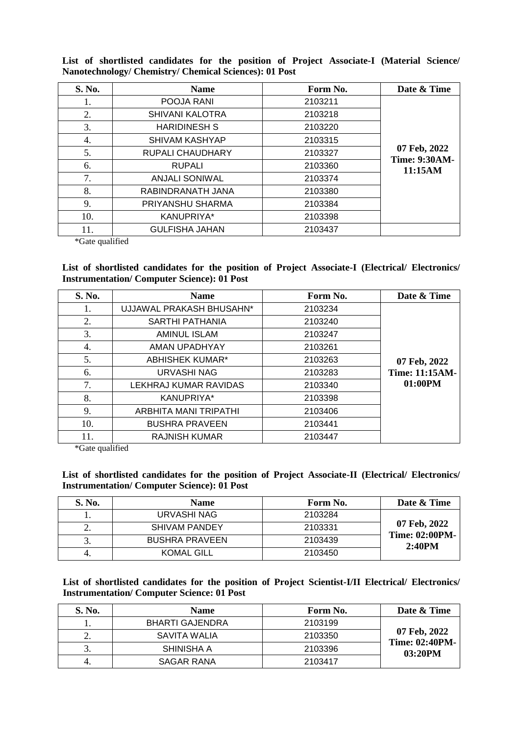**List of shortlisted candidates for the position of Project Associate-I (Material Science/ Nanotechnology/ Chemistry/ Chemical Sciences): 01 Post**

| S. No. | <b>Name</b>            | Form No. | Date & Time                                     |
|--------|------------------------|----------|-------------------------------------------------|
| 1.     | POOJA RANI             | 2103211  |                                                 |
| 2.     | <b>SHIVANI KALOTRA</b> | 2103218  |                                                 |
| 3.     | <b>HARIDINESH S</b>    | 2103220  |                                                 |
| 4.     | SHIVAM KASHYAP         | 2103315  | 07 Feb, 2022<br><b>Time: 9:30AM-</b><br>11:15AM |
| 5.     | RUPALI CHAUDHARY       | 2103327  |                                                 |
| 6.     | <b>RUPALI</b>          | 2103360  |                                                 |
| 7.     | <b>ANJALI SONIWAL</b>  | 2103374  |                                                 |
| 8.     | RABINDRANATH JANA      | 2103380  |                                                 |
| 9.     | PRIYANSHU SHARMA       | 2103384  |                                                 |
| 10.    | KANUPRIYA*             | 2103398  |                                                 |
| 11.    | <b>GULFISHA JAHAN</b>  | 2103437  |                                                 |

\*Gate qualified

# **List of shortlisted candidates for the position of Project Associate-I (Electrical/ Electronics/ Instrumentation/ Computer Science): 01 Post**

| S. No. | <b>Name</b>              | Form No. | Date & Time    |
|--------|--------------------------|----------|----------------|
| 1.     | UJJAWAL PRAKASH BHUSAHN* | 2103234  |                |
| 2.     | SARTHI PATHANIA          | 2103240  |                |
| 3.     | <b>AMINUL ISLAM</b>      | 2103247  |                |
| 4.     | AMAN UPADHYAY            | 2103261  |                |
| 5.     | <b>ABHISHEK KUMAR*</b>   | 2103263  | 07 Feb, 2022   |
| 6.     | URVASHI NAG              | 2103283  | Time: 11:15AM- |
| 7.     | LEKHRAJ KUMAR RAVIDAS    | 2103340  | 01:00PM        |
| 8.     | KANUPRIYA*               | 2103398  |                |
| 9.     | ARBHITA MANI TRIPATHI    | 2103406  |                |
| 10.    | <b>BUSHRA PRAVEEN</b>    | 2103441  |                |
| 11.    | <b>RAJNISH KUMAR</b>     | 2103447  |                |

\*Gate qualified

**List of shortlisted candidates for the position of Project Associate-II (Electrical/ Electronics/ Instrumentation/ Computer Science): 01 Post**

| S. No. | <b>Name</b>           | Form No. | Date & Time                     |
|--------|-----------------------|----------|---------------------------------|
|        | URVASHI NAG           | 2103284  |                                 |
|        | <b>SHIVAM PANDEY</b>  | 2103331  | 07 Feb, 2022                    |
|        | <b>BUSHRA PRAVEEN</b> | 2103439  | <b>Time: 02:00PM-</b><br>2:40PM |
|        | <b>KOMAL GILL</b>     | 2103450  |                                 |

**List of shortlisted candidates for the position of Project Scientist-I/II Electrical/ Electronics/ Instrumentation/ Computer Science: 01 Post**

| S. No.   | <b>Name</b>     | Form No. | Date & Time                           |
|----------|-----------------|----------|---------------------------------------|
|          | BHARTI GAJENDRA | 2103199  |                                       |
| <u>.</u> | SAVITA WALIA    | 2103350  | 07 Feb, 2022<br><b>Time: 02:40PM-</b> |
|          | SHINISHA A      | 2103396  | 03:20PM                               |
|          | SAGAR RANA      | 2103417  |                                       |